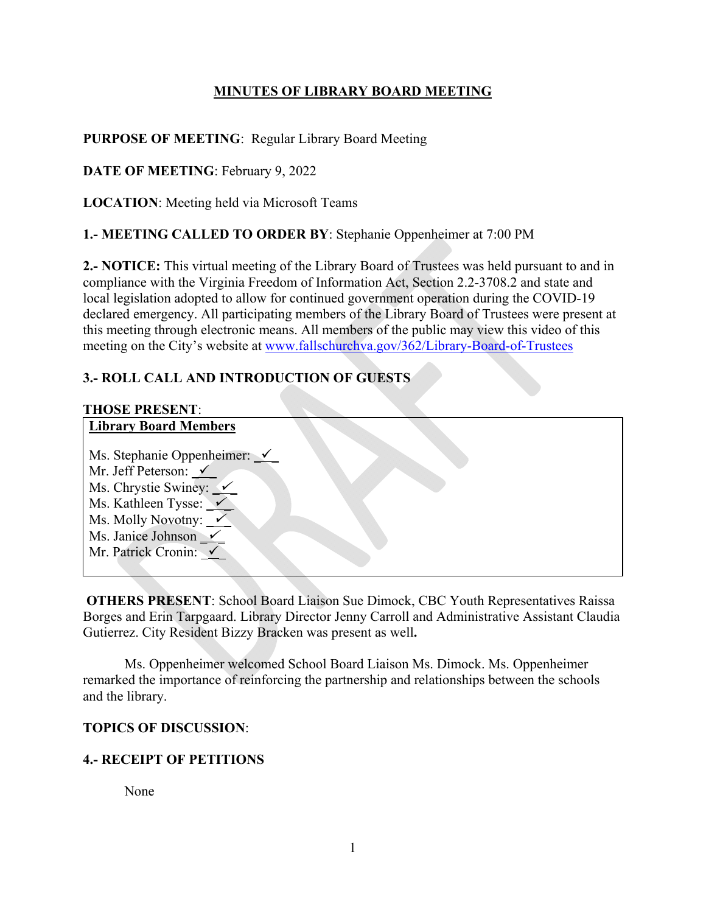## **MINUTES OF LIBRARY BOARD MEETING**

## **PURPOSE OF MEETING**: Regular Library Board Meeting

**DATE OF MEETING**: February 9, 2022

**LOCATION**: Meeting held via Microsoft Teams

## **1.- MEETING CALLED TO ORDER BY**: Stephanie Oppenheimer at 7:00 PM

**2.- NOTICE:** This virtual meeting of the Library Board of Trustees was held pursuant to and in compliance with the Virginia Freedom of Information Act, Section 2.2-3708.2 and state and local legislation adopted to allow for continued government operation during the COVID-19 declared emergency. All participating members of the Library Board of Trustees were present at this meeting through electronic means. All members of the public may view this video of this meeting on the City's website at www.fallschurchva.gov/362/Library-Board-of-Trustees

## **3.- ROLL CALL AND INTRODUCTION OF GUESTS**

# **THOSE PRESENT**:

# **Library Board Members**

| Ms. Stephanie Oppenheimer: $\checkmark$  |  |
|------------------------------------------|--|
| Mr. Jeff Peterson: $\checkmark$          |  |
| Ms. Chrystie Swiney: $\checkmark$        |  |
| Ms. Kathleen Tysse: $\sqrt{\phantom{a}}$ |  |
| Ms. Molly Novotny: $\sqrt{\ }$           |  |
| Ms. Janice Johnson $\checkmark$          |  |
| Mr. Patrick Cronin:                      |  |

 **OTHERS PRESENT**: School Board Liaison Sue Dimock, CBC Youth Representatives Raissa Borges and Erin Tarpgaard. Library Director Jenny Carroll and Administrative Assistant Claudia Gutierrez. City Resident Bizzy Bracken was present as well**.** 

Ms. Oppenheimer welcomed School Board Liaison Ms. Dimock. Ms. Oppenheimer remarked the importance of reinforcing the partnership and relationships between the schools and the library.

## **TOPICS OF DISCUSSION**:

## **4.- RECEIPT OF PETITIONS**

None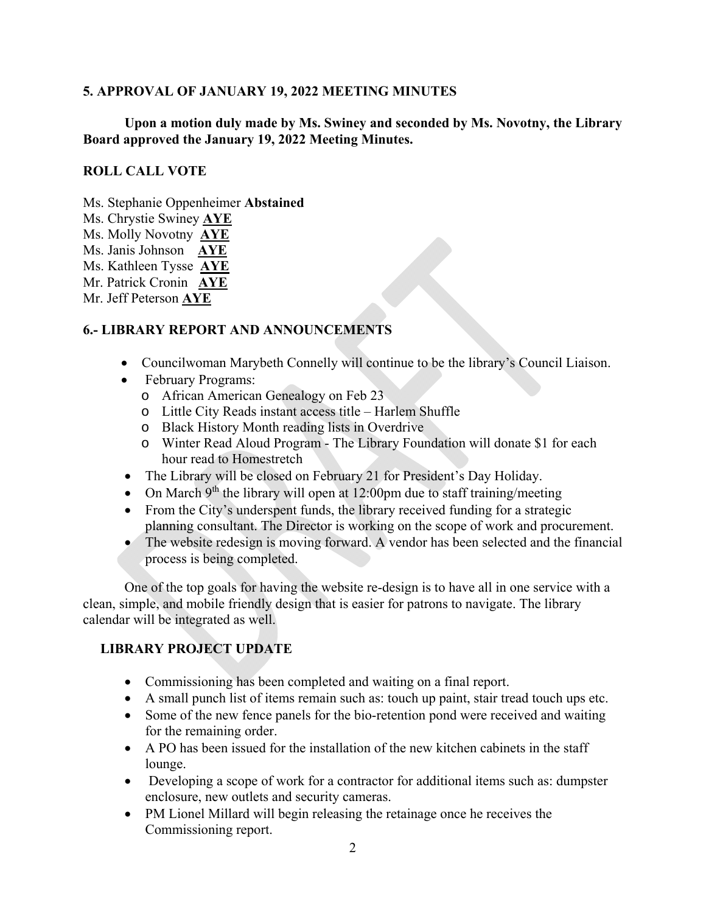#### **5. APPROVAL OF JANUARY 19, 2022 MEETING MINUTES**

### **Upon a motion duly made by Ms. Swiney and seconded by Ms. Novotny, the Library Board approved the January 19, 2022 Meeting Minutes.**

### **ROLL CALL VOTE**

Ms. Stephanie Oppenheimer **Abstained** 

- Ms. Chrystie Swiney **AYE**
- Ms. Molly Novotny **AYE**
- Ms. Janis Johnson **AYE**
- Ms. Kathleen Tysse **AYE**
- Mr. Patrick Cronin **AYE**
- Mr. Jeff Peterson **AYE**

## **6.- LIBRARY REPORT AND ANNOUNCEMENTS**

- Councilwoman Marybeth Connelly will continue to be the library's Council Liaison.
- February Programs:
	- o African American Genealogy on Feb 23
	- o Little City Reads instant access title Harlem Shuffle
	- o Black History Month reading lists in Overdrive
	- o Winter Read Aloud Program The Library Foundation will donate \$1 for each hour read to Homestretch
- The Library will be closed on February 21 for President's Day Holiday.
- On March  $9<sup>th</sup>$  the library will open at 12:00pm due to staff training/meeting
- From the City's underspent funds, the library received funding for a strategic planning consultant. The Director is working on the scope of work and procurement.
- The website redesign is moving forward. A vendor has been selected and the financial process is being completed.

 One of the top goals for having the website re-design is to have all in one service with a clean, simple, and mobile friendly design that is easier for patrons to navigate. The library calendar will be integrated as well.

## **LIBRARY PROJECT UPDATE**

- Commissioning has been completed and waiting on a final report.
- A small punch list of items remain such as: touch up paint, stair tread touch ups etc.
- Some of the new fence panels for the bio-retention pond were received and waiting for the remaining order.
- A PO has been issued for the installation of the new kitchen cabinets in the staff lounge.
- Developing a scope of work for a contractor for additional items such as: dumpster enclosure, new outlets and security cameras.
- PM Lionel Millard will begin releasing the retainage once he receives the Commissioning report.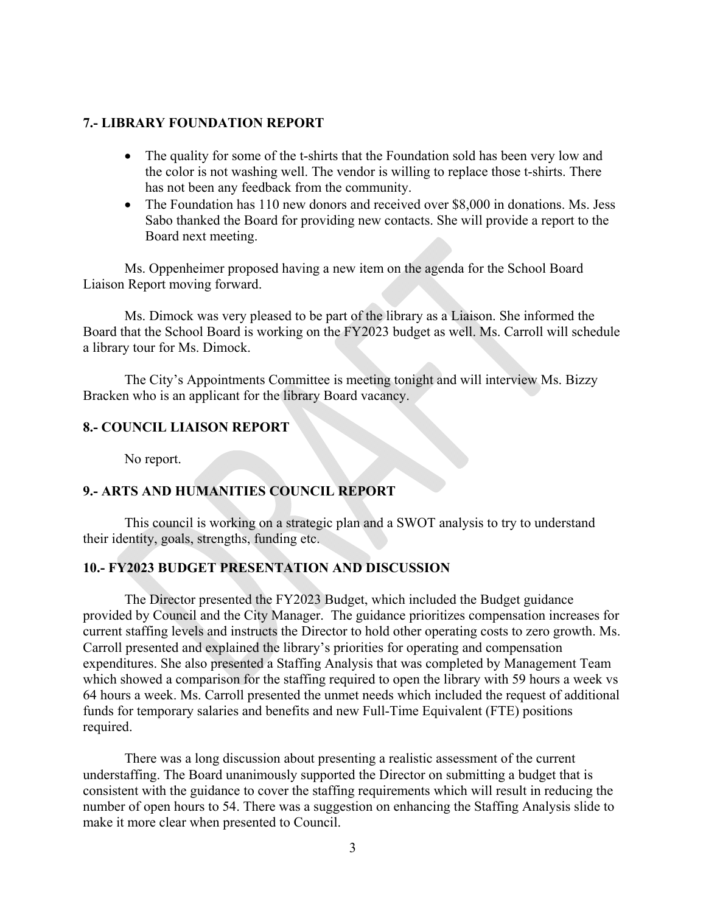#### **7.- LIBRARY FOUNDATION REPORT**

- The quality for some of the t-shirts that the Foundation sold has been very low and the color is not washing well. The vendor is willing to replace those t-shirts. There has not been any feedback from the community.
- The Foundation has 110 new donors and received over \$8,000 in donations. Ms. Jess Sabo thanked the Board for providing new contacts. She will provide a report to the Board next meeting.

Ms. Oppenheimer proposed having a new item on the agenda for the School Board Liaison Report moving forward.

 Ms. Dimock was very pleased to be part of the library as a Liaison. She informed the Board that the School Board is working on the FY2023 budget as well. Ms. Carroll will schedule a library tour for Ms. Dimock.

 The City's Appointments Committee is meeting tonight and will interview Ms. Bizzy Bracken who is an applicant for the library Board vacancy.

#### **8.- COUNCIL LIAISON REPORT**

No report.

### **9.- ARTS AND HUMANITIES COUNCIL REPORT**

 This council is working on a strategic plan and a SWOT analysis to try to understand their identity, goals, strengths, funding etc.

#### **10.- FY2023 BUDGET PRESENTATION AND DISCUSSION**

 The Director presented the FY2023 Budget, which included the Budget guidance provided by Council and the City Manager. The guidance prioritizes compensation increases for current staffing levels and instructs the Director to hold other operating costs to zero growth. Ms. Carroll presented and explained the library's priorities for operating and compensation expenditures. She also presented a Staffing Analysis that was completed by Management Team which showed a comparison for the staffing required to open the library with 59 hours a week vs 64 hours a week. Ms. Carroll presented the unmet needs which included the request of additional funds for temporary salaries and benefits and new Full-Time Equivalent (FTE) positions required.

 There was a long discussion about presenting a realistic assessment of the current understaffing. The Board unanimously supported the Director on submitting a budget that is consistent with the guidance to cover the staffing requirements which will result in reducing the number of open hours to 54. There was a suggestion on enhancing the Staffing Analysis slide to make it more clear when presented to Council.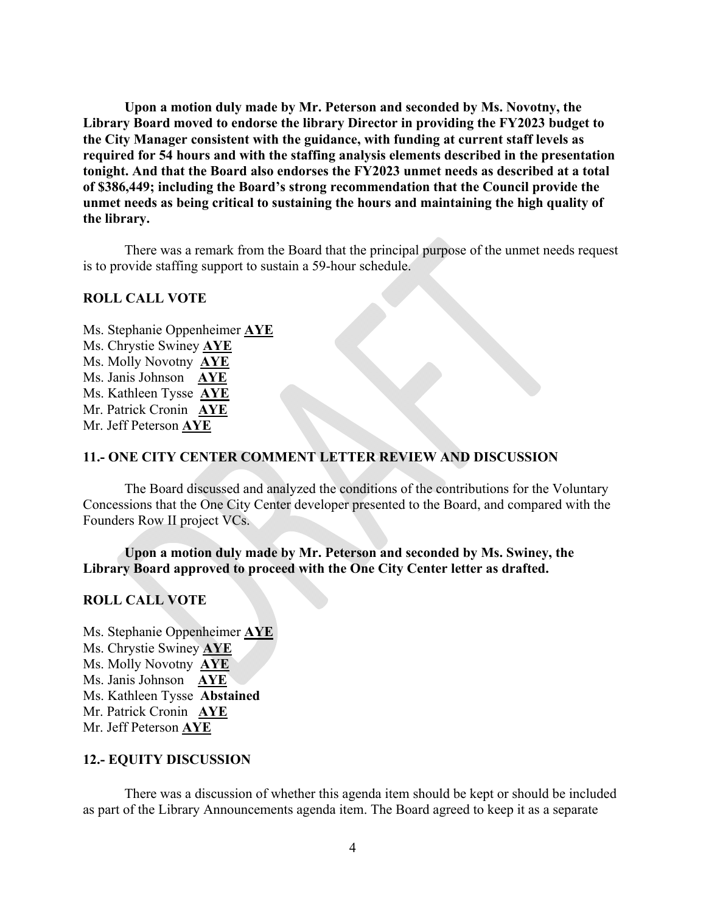**Upon a motion duly made by Mr. Peterson and seconded by Ms. Novotny, the Library Board moved to endorse the library Director in providing the FY2023 budget to the City Manager consistent with the guidance, with funding at current staff levels as required for 54 hours and with the staffing analysis elements described in the presentation tonight. And that the Board also endorses the FY2023 unmet needs as described at a total of \$386,449; including the Board's strong recommendation that the Council provide the unmet needs as being critical to sustaining the hours and maintaining the high quality of the library.** 

There was a remark from the Board that the principal purpose of the unmet needs request is to provide staffing support to sustain a 59-hour schedule.

#### **ROLL CALL VOTE**

Ms. Stephanie Oppenheimer **AYE**  Ms. Chrystie Swiney **AYE**  Ms. Molly Novotny **AYE** Ms. Janis Johnson **AYE**  Ms. Kathleen Tysse **AYE**  Mr. Patrick Cronin **AYE**  Mr. Jeff Peterson **AYE** 

## **11.- ONE CITY CENTER COMMENT LETTER REVIEW AND DISCUSSION**

The Board discussed and analyzed the conditions of the contributions for the Voluntary Concessions that the One City Center developer presented to the Board, and compared with the Founders Row II project VCs.

**Upon a motion duly made by Mr. Peterson and seconded by Ms. Swiney, the Library Board approved to proceed with the One City Center letter as drafted.** 

#### **ROLL CALL VOTE**

Ms. Stephanie Oppenheimer **AYE**  Ms. Chrystie Swiney **AYE**  Ms. Molly Novotny **AYE** Ms. Janis Johnson **AYE**  Ms. Kathleen Tysse **Abstained**  Mr. Patrick Cronin **AYE**  Mr. Jeff Peterson **AYE** 

#### **12.- EQUITY DISCUSSION**

 There was a discussion of whether this agenda item should be kept or should be included as part of the Library Announcements agenda item. The Board agreed to keep it as a separate